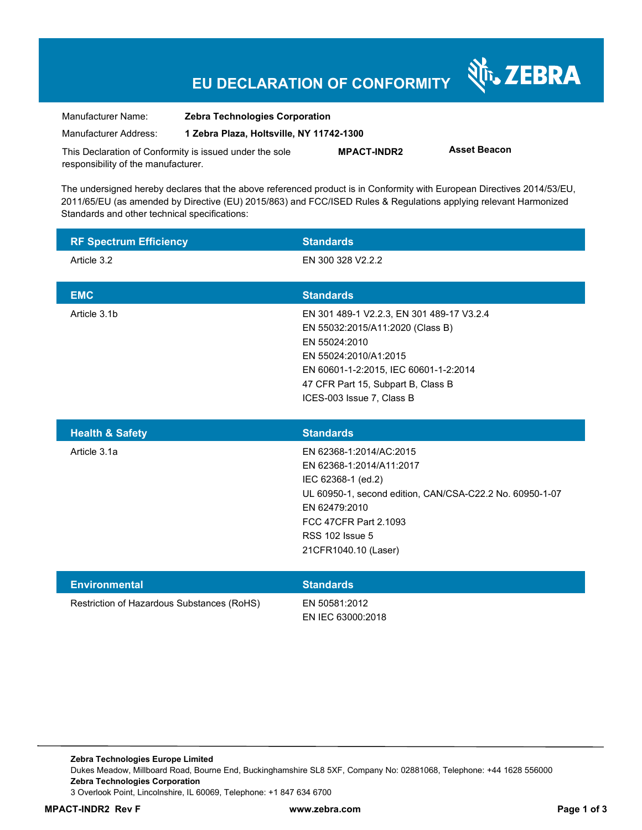# **EU DECLARATION OF CONFORMITY**

Nr. ZEBRA

| Manufacturer Name:                                      | <b>Zebra Technologies Corporation</b>    |                    |                     |  |
|---------------------------------------------------------|------------------------------------------|--------------------|---------------------|--|
| Manufacturer Address:                                   | 1 Zebra Plaza, Holtsville, NY 11742-1300 |                    |                     |  |
| This Declaration of Conformity is issued under the sole |                                          | <b>MPACT-INDR2</b> | <b>Asset Beacon</b> |  |
| responsibility of the manufacturer.                     |                                          |                    |                     |  |

The undersigned hereby declares that the above referenced product is in Conformity with European Directives 2014/53/EU, 2011/65/EU (as amended by Directive (EU) 2015/863) and FCC/ISED Rules & Regulations applying relevant Harmonized Standards and other technical specifications:

| <b>RF Spectrum Efficiency</b> | <b>Standards</b>                                                                                                                                                                                                                    |
|-------------------------------|-------------------------------------------------------------------------------------------------------------------------------------------------------------------------------------------------------------------------------------|
| Article 3.2                   | EN 300 328 V2.2.2                                                                                                                                                                                                                   |
| <b>EMC</b>                    | <b>Standards</b>                                                                                                                                                                                                                    |
| Article 3.1b                  | EN 301 489-1 V2.2.3, EN 301 489-17 V3.2.4<br>EN 55032:2015/A11:2020 (Class B)<br>EN 55024:2010<br>EN 55024:2010/A1:2015<br>EN 60601-1-2:2015, IEC 60601-1-2:2014<br>47 CFR Part 15, Subpart B, Class B<br>ICES-003 Issue 7, Class B |
|                               |                                                                                                                                                                                                                                     |
| <b>Health &amp; Safety</b>    | <b>Standards</b>                                                                                                                                                                                                                    |
| Article 3.1a                  | EN 62368-1:2014/AC:2015<br>EN 62368-1:2014/A11:2017<br>IEC 62368-1 (ed.2)<br>UL 60950-1, second edition, CAN/CSA-C22.2 No. 60950-1-07<br>EN 62479:2010<br>FCC 47CFR Part 2.1093<br><b>RSS 102 Issue 5</b><br>21CFR1040.10 (Laser)   |

Restriction of Hazardous Substances (RoHS) EN 50581:2012

EN IEC 63000:2018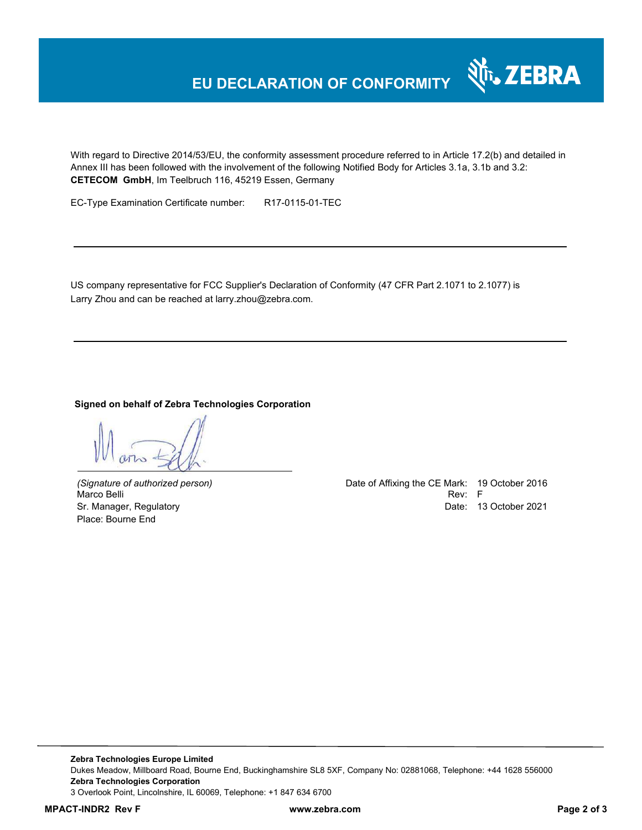# **EU DECLARATION OF CONFORMITY**

With regard to Directive 2014/53/EU, the conformity assessment procedure referred to in Article 17.2(b) and detailed in Annex III has been followed with the involvement of the following Notified Body for Articles 3.1a, 3.1b and 3.2: **CETECOM GmbH**, Im Teelbruch 116, 45219 Essen, Germany

EC-Type Examination Certificate number: R17-0115-01-TEC

US company representative for FCC Supplier's Declaration of Conformity (47 CFR Part 2.1071 to 2.1077) is Larry Zhou and can be reached at larry.zhou@zebra.com.

#### **Signed on behalf of Zebra Technologies Corporation**

Place: Bourne End

*(Signature of authorized person)* Date of Affixing the CE Mark: 19 October 2016 Marco Belli Rev: Fig. 1999. In the second contract of the second contract of the second contract of the second contract of the second contract of the second contract of the second contract of the second contract of the sec Sr. Manager, Regulatory Date: 13 October 2021

र्शे<sub>ं</sub> ZEBRA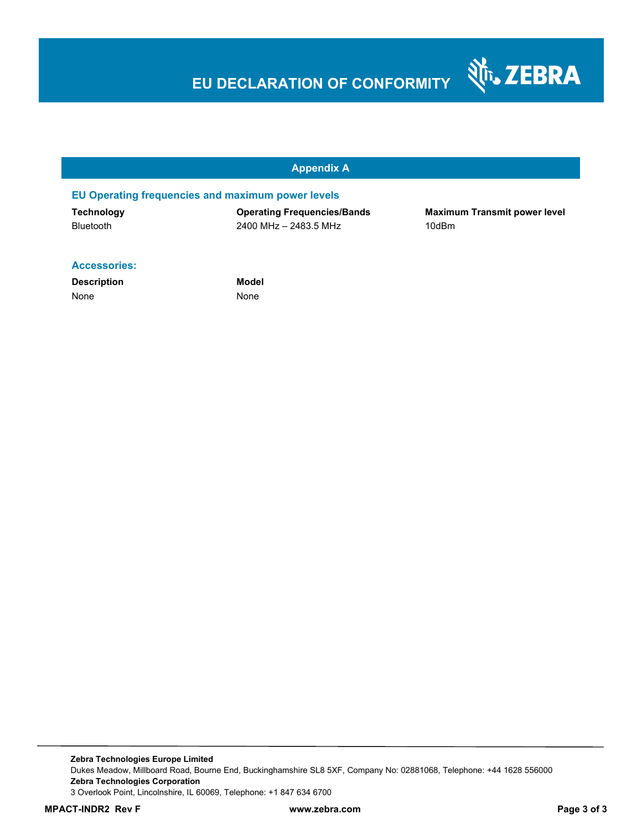# **EU DECLARATION OF CONFORMITY**

### **Appendix A**

#### **EU Operating frequencies and maximum power levels**

| <b>Technology</b> |
|-------------------|
| <b>Bluetooth</b>  |

**Operating Frequencies/Bands Maximum Transmit power level** Bluetooth 2400 MHz – 2483.5 MHz 10dBm

Nr. ZEBRA

#### **Accessories:**

**Description Model** None None None